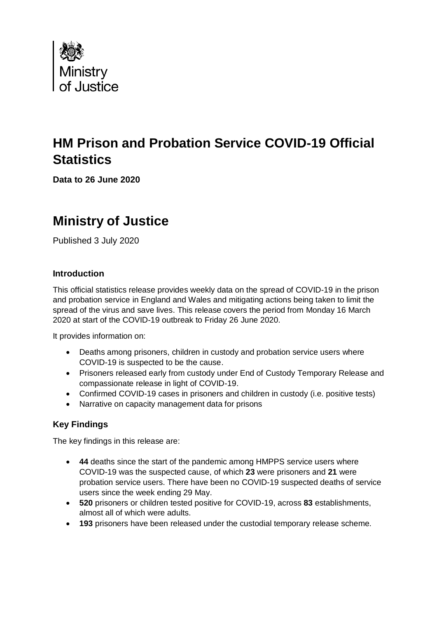

# **HM Prison and Probation Service COVID-19 Official Statistics**

**Data to 26 June 2020**

# **Ministry of Justice**

Published 3 July 2020

### **Introduction**

This official statistics release provides weekly data on the spread of COVID-19 in the prison and probation service in England and Wales and mitigating actions being taken to limit the spread of the virus and save lives. This release covers the period from Monday 16 March 2020 at start of the COVID-19 outbreak to Friday 26 June 2020.

It provides information on:

- Deaths among prisoners, children in custody and probation service users where COVID-19 is suspected to be the cause.
- Prisoners released early from custody under End of Custody Temporary Release and compassionate release in light of COVID-19.
- Confirmed COVID-19 cases in prisoners and children in custody (i.e. positive tests)
- Narrative on capacity management data for prisons

## **Key Findings**

The key findings in this release are:

- **44** deaths since the start of the pandemic among HMPPS service users where COVID-19 was the suspected cause, of which **23** were prisoners and **21** were probation service users. There have been no COVID-19 suspected deaths of service users since the week ending 29 May.
- **520** prisoners or children tested positive for COVID-19, across **83** establishments, almost all of which were adults.
- **193** prisoners have been released under the custodial temporary release scheme.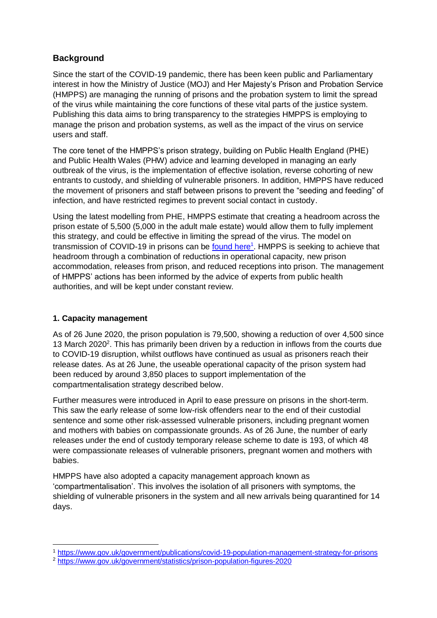## **Background**

Since the start of the COVID-19 pandemic, there has been keen public and Parliamentary interest in how the Ministry of Justice (MOJ) and Her Majesty's Prison and Probation Service (HMPPS) are managing the running of prisons and the probation system to limit the spread of the virus while maintaining the core functions of these vital parts of the justice system. Publishing this data aims to bring transparency to the strategies HMPPS is employing to manage the prison and probation systems, as well as the impact of the virus on service users and staff.

The core tenet of the HMPPS's prison strategy, building on Public Health England (PHE) and Public Health Wales (PHW) advice and learning developed in managing an early outbreak of the virus, is the implementation of effective isolation, reverse cohorting of new entrants to custody, and shielding of vulnerable prisoners. In addition, HMPPS have reduced the movement of prisoners and staff between prisons to prevent the "seeding and feeding" of infection, and have restricted regimes to prevent social contact in custody.

Using the latest modelling from PHE, HMPPS estimate that creating a headroom across the prison estate of 5,500 (5,000 in the adult male estate) would allow them to fully implement this strategy, and could be effective in limiting the spread of the virus. The model on transmission of COVID-19 in prisons can be **found here<sup>1</sup>. HMPPS** is seeking to achieve that headroom through a combination of reductions in operational capacity, new prison accommodation, releases from prison, and reduced receptions into prison. The management of HMPPS' actions has been informed by the advice of experts from public health authorities, and will be kept under constant review.

#### **1. Capacity management**

**.** 

As of 26 June 2020, the prison population is 79,500, showing a reduction of over 4,500 since 13 March 2020<sup>2</sup>. This has primarily been driven by a reduction in inflows from the courts due to COVID-19 disruption, whilst outflows have continued as usual as prisoners reach their release dates. As at 26 June, the useable operational capacity of the prison system had been reduced by around 3,850 places to support implementation of the compartmentalisation strategy described below.

Further measures were introduced in April to ease pressure on prisons in the short-term. This saw the early release of some low-risk offenders near to the end of their custodial sentence and some other risk-assessed vulnerable prisoners, including pregnant women and mothers with babies on compassionate grounds. As of 26 June, the number of early releases under the end of custody temporary release scheme to date is 193, of which 48 were compassionate releases of vulnerable prisoners, pregnant women and mothers with babies.

HMPPS have also adopted a capacity management approach known as 'compartmentalisation'. This involves the isolation of all prisoners with symptoms, the shielding of vulnerable prisoners in the system and all new arrivals being quarantined for 14 days.

<sup>1</sup> <https://www.gov.uk/government/publications/covid-19-population-management-strategy-for-prisons>

<sup>2</sup> <https://www.gov.uk/government/statistics/prison-population-figures-2020>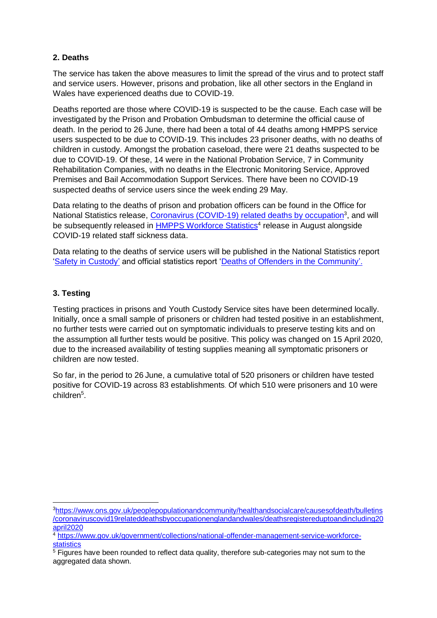#### **2. Deaths**

The service has taken the above measures to limit the spread of the virus and to protect staff and service users. However, prisons and probation, like all other sectors in the England in Wales have experienced deaths due to COVID-19.

Deaths reported are those where COVID-19 is suspected to be the cause. Each case will be investigated by the Prison and Probation Ombudsman to determine the official cause of death. In the period to 26 June, there had been a total of 44 deaths among HMPPS service users suspected to be due to COVID-19. This includes 23 prisoner deaths, with no deaths of children in custody. Amongst the probation caseload, there were 21 deaths suspected to be due to COVID-19. Of these, 14 were in the National Probation Service, 7 in Community Rehabilitation Companies, with no deaths in the Electronic Monitoring Service, Approved Premises and Bail Accommodation Support Services. There have been no COVID-19 suspected deaths of service users since the week ending 29 May.

Data relating to the deaths of prison and probation officers can be found in the Office for National Statistics release, [Coronavirus \(COVID-19\) related deaths by occupation](https://www.ons.gov.uk/peoplepopulationandcommunity/healthandsocialcare/causesofdeath/bulletins/coronaviruscovid19relateddeathsbyoccupationenglandandwales/deathsregistereduptoandincluding20april2020)<sup>3</sup>, and will be subsequently released in **HMPPS Workforce Statistics<sup>4</sup>** release in August alongside COVID-19 related staff sickness data.

Data relating to the deaths of service users will be published in the National Statistics report ['Safety in Custody'](https://www.gov.uk/government/collections/safety-in-custody-statistics) and official statistics report ['Deaths of Offenders in the Community'](https://www.gov.uk/government/collections/death-of-offenders-in-the-community).

### **3. Testing**

**.** 

Testing practices in prisons and Youth Custody Service sites have been determined locally. Initially, once a small sample of prisoners or children had tested positive in an establishment, no further tests were carried out on symptomatic individuals to preserve testing kits and on the assumption all further tests would be positive. This policy was changed on 15 April 2020, due to the increased availability of testing supplies meaning all symptomatic prisoners or children are now tested.

So far, in the period to 26 June, a cumulative total of 520 prisoners or children have tested positive for COVID-19 across 83 establishments. Of which 510 were prisoners and 10 were children<sup>5</sup>.

<sup>3</sup>[https://www.ons.gov.uk/peoplepopulationandcommunity/healthandsocialcare/causesofdeath/bulletins](https://www.ons.gov.uk/peoplepopulationandcommunity/healthandsocialcare/causesofdeath/bulletins/coronaviruscovid19relateddeathsbyoccupationenglandandwales/deathsregistereduptoandincluding20april2020) [/coronaviruscovid19relateddeathsbyoccupationenglandandwales/deathsregistereduptoandincluding20](https://www.ons.gov.uk/peoplepopulationandcommunity/healthandsocialcare/causesofdeath/bulletins/coronaviruscovid19relateddeathsbyoccupationenglandandwales/deathsregistereduptoandincluding20april2020) [april2020](https://www.ons.gov.uk/peoplepopulationandcommunity/healthandsocialcare/causesofdeath/bulletins/coronaviruscovid19relateddeathsbyoccupationenglandandwales/deathsregistereduptoandincluding20april2020)

<sup>4</sup> [https://www.gov.uk/government/collections/national-offender-management-service-workforce](https://www.gov.uk/government/collections/national-offender-management-service-workforce-statistics)[statistics](https://www.gov.uk/government/collections/national-offender-management-service-workforce-statistics)

<sup>&</sup>lt;sup>5</sup> Figures have been rounded to reflect data quality, therefore sub-categories may not sum to the aggregated data shown.